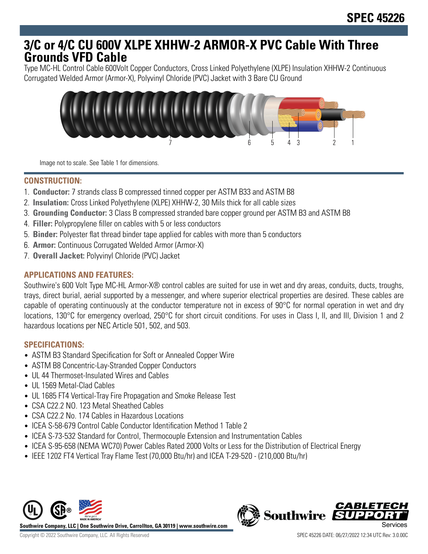# **3/C or 4/C CU 600V XLPE XHHW-2 ARMOR-X PVC Cable With Three Grounds VFD Cable**

Type MC-HL Control Cable 600Volt Copper Conductors, Cross Linked Polyethylene (XLPE) Insulation XHHW-2 Continuous Corrugated Welded Armor (Armor-X), Polyvinyl Chloride (PVC) Jacket with 3 Bare CU Ground



Image not to scale. See Table 1 for dimensions.

## **CONSTRUCTION:**

- 1. **Conductor:** 7 strands class B compressed tinned copper per ASTM B33 and ASTM B8
- 2. **Insulation:** Cross Linked Polyethylene (XLPE) XHHW-2, 30 Mils thick for all cable sizes
- 3. **Grounding Conductor:** 3 Class B compressed stranded bare copper ground per ASTM B3 and ASTM B8
- 4. **Filler:** Polypropylene filler on cables with 5 or less conductors
- 5. **Binder:** Polyester flat thread binder tape applied for cables with more than 5 conductors
- 6. **Armor:** Continuous Corrugated Welded Armor (Armor-X)
- 7. **Overall Jacket:** Polyvinyl Chloride (PVC) Jacket

## **APPLICATIONS AND FEATURES:**

Southwire's 600 Volt Type MC-HL Armor-X® control cables are suited for use in wet and dry areas, conduits, ducts, troughs, trays, direct burial, aerial supported by a messenger, and where superior electrical properties are desired. These cables are capable of operating continuously at the conductor temperature not in excess of 90°C for normal operation in wet and dry locations, 130°C for emergency overload, 250°C for short circuit conditions. For uses in Class I, II, and III, Division 1 and 2 hazardous locations per NEC Article 501, 502, and 503.

### **SPECIFICATIONS:**

- ASTM B3 Standard Specification for Soft or Annealed Copper Wire
- ASTM B8 Concentric-Lay-Stranded Copper Conductors
- UL 44 Thermoset-Insulated Wires and Cables
- UL 1569 Metal-Clad Cables
- UL 1685 FT4 Vertical-Tray Fire Propagation and Smoke Release Test
- CSA C22.2 NO. 123 Metal Sheathed Cables
- CSA C22.2 No. 174 Cables in Hazardous Locations
- ICEA S-58-679 Control Cable Conductor Identification Method 1 Table 2
- ICEA S-73-532 Standard for Control, Thermocouple Extension and Instrumentation Cables
- ICEA S-95-658 (NEMA WC70) Power Cables Rated 2000 Volts or Less for the Distribution of Electrical Energy
- IEEE 1202 FT4 Vertical Tray Flame Test (70,000 Btu/hr) and ICEA T-29-520 (210,000 Btu/hr)